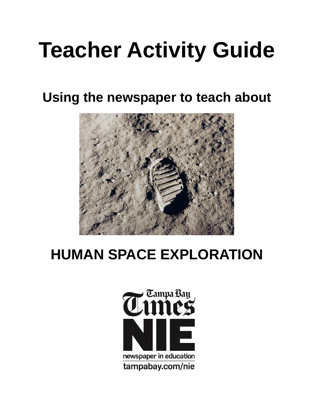# **Teacher Activity Guide**

**Using the newspaper to teach about**



## **HUMAN SPACE EXPLORATION**

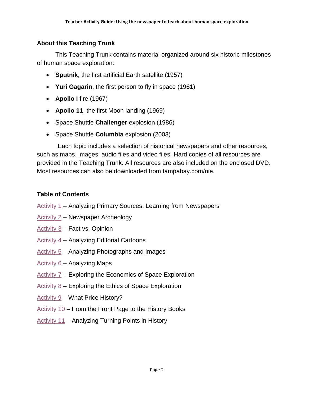## **About this Teaching Trunk**

This Teaching Trunk contains material organized around six historic milestones of human space exploration:

- **Sputnik**, the first artificial Earth satellite (1957)
- **Yuri Gagarin**, the first person to fly in space (1961)
- **Apollo I** fire (1967)
- **Apollo 11**, the first Moon landing (1969)
- Space Shuttle **Challenger** explosion (1986)
- Space Shuttle **Columbia** explosion (2003)

Each topic includes a selection of historical newspapers and other resources, such as maps, images, audio files and video files. Hard copies of all resources are provided in the Teaching Trunk. All resources are also included on the enclosed DVD. Most resources can also be downloaded from tampabay.com/nie.

## **Table of Contents**

- [Activity 1](#page-3-0) Analyzing Primary Sources: Learning from Newspapers
- [Activity 2](#page-8-0) Newspaper Archeology
- [Activity 3](#page-9-0) Fact vs. Opinion
- [Activity 4](#page-12-0) Analyzing Editorial Cartoons
- [Activity 5](#page-16-0) Analyzing Photographs and Images
- [Activity 6](#page-19-0) Analyzing Maps
- [Activity 7](#page-21-0) Exploring the Economics of Space Exploration
- Activity  $8$  Exploring the Ethics of Space Exploration
- [Activity 9](#page-28-0) What Price History?
- [Activity 10](#page-30-0) From the Front Page to the History Books
- [Activity 11](#page-32-0) Analyzing Turning Points in History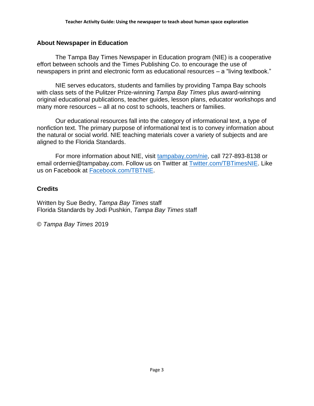## **About Newspaper in Education**

The Tampa Bay Times Newspaper in Education program (NIE) is a cooperative effort between schools and the Times Publishing Co. to encourage the use of newspapers in print and electronic form as educational resources – a "living textbook."

NIE serves educators, students and families by providing Tampa Bay schools with class sets of the Pulitzer Prize-winning *Tampa Bay Times* plus award-winning original educational publications, teacher guides, lesson plans, educator workshops and many more resources – all at no cost to schools, teachers or families.

Our educational resources fall into the category of informational text, a type of nonfiction text. The primary purpose of informational text is to convey information about the natural or social world. NIE teaching materials cover a variety of subjects and are aligned to the Florida Standards.

For more information about NIE, visit [tampabay.com/nie,](https://nieonline.com/tbtimes/) call 727-893-8138 or email ordernie@tampabay.com. Follow us on Twitter at [Twitter.com/TBTimesNIE.](https://twitter.com/tbtimesnie) Like us on Facebook at [Facebook.com/TBTNIE.](https://www.facebook.com/TBTNIE)

## **Credits**

Written by Sue Bedry, *Tampa Bay Times* staff Florida Standards by Jodi Pushkin, *Tampa Bay Times* staff

© *Tampa Bay Times* 2019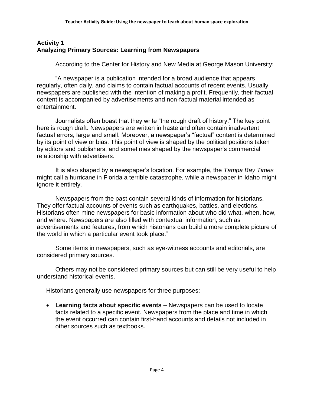## <span id="page-3-0"></span>**Activity 1 Analyzing Primary Sources: Learning from Newspapers**

According to the Center for History and New Media at George Mason University:

"A newspaper is a publication intended for a broad audience that appears regularly, often daily, and claims to contain factual accounts of recent events. Usually newspapers are published with the intention of making a profit. Frequently, their factual content is accompanied by advertisements and non-factual material intended as entertainment.

Journalists often boast that they write "the rough draft of history." The key point here is rough draft. Newspapers are written in haste and often contain inadvertent factual errors, large and small. Moreover, a newspaper's "factual" content is determined by its point of view or bias. This point of view is shaped by the political positions taken by editors and publishers, and sometimes shaped by the newspaper's commercial relationship with advertisers.

It is also shaped by a newspaper's location. For example, the *Tampa Bay Times* might call a hurricane in Florida a terrible catastrophe, while a newspaper in Idaho might ignore it entirely.

Newspapers from the past contain several kinds of information for historians. They offer factual accounts of events such as earthquakes, battles, and elections. Historians often mine newspapers for basic information about who did what, when, how, and where. Newspapers are also filled with contextual information, such as advertisements and features, from which historians can build a more complete picture of the world in which a particular event took place."

Some items in newspapers, such as eye-witness accounts and editorials, are considered primary sources.

Others may not be considered primary sources but can still be very useful to help understand historical events.

Historians generally use newspapers for three purposes:

 **Learning facts about specific events** – Newspapers can be used to locate facts related to a specific event. Newspapers from the place and time in which the event occurred can contain first-hand accounts and details not included in other sources such as textbooks.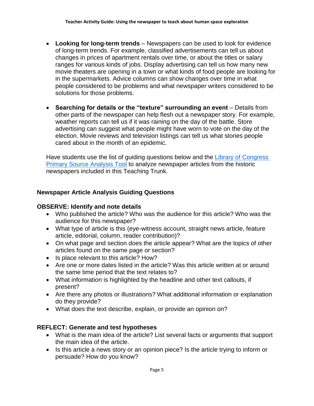- **Looking for long-term trends** Newspapers can be used to look for evidence of long-term trends. For example, classified advertisements can tell us about changes in prices of apartment rentals over time, or about the titles or salary ranges for various kinds of jobs. Display advertising can tell us how many new movie theaters are opening in a town or what kinds of food people are looking for in the supermarkets. Advice columns can show changes over time in what people considered to be problems and what newspaper writers considered to be solutions for those problems.
- **Searching for details or the "texture" surrounding an event** Details from other parts of the newspaper can help flesh out a newspaper story. For example, weather reports can tell us if it was raining on the day of the battle. Store advertising can suggest what people might have worn to vote on the day of the election. Movie reviews and television listings can tell us what stories people cared about in the month of an epidemic.

Have students use the list of guiding questions below and the Library of Congress **[Primary Source Analysis Tool](http://www.loc.gov/teachers/usingprimarysources/resources/Primary_Source_Analysis_Tool.pdf) to analyze newspaper articles from the historic** newspapers included in this Teaching Trunk.

## **Newspaper Article Analysis Guiding Questions**

## **OBSERVE: Identify and note details**

- Who published the article? Who was the audience for this article? Who was the audience for this newspaper?
- What type of article is this (eye-witness account, straight news article, feature article, editorial, column, reader contribution)?
- On what page and section does the article appear? What are the topics of other articles found on the same page or section?
- Is place relevant to this article? How?
- Are one or more dates listed in the article? Was this article written at or around the same time period that the text relates to?
- What information is highlighted by the headline and other text callouts, if present?
- Are there any photos or illustrations? What additional information or explanation do they provide?
- What does the text describe, explain, or provide an opinion on?

## **REFLECT: Generate and test hypotheses**

- What is the main idea of the article? List several facts or arguments that support the main idea of the article.
- Is this article a news story or an opinion piece? Is the article trying to inform or persuade? How do you know?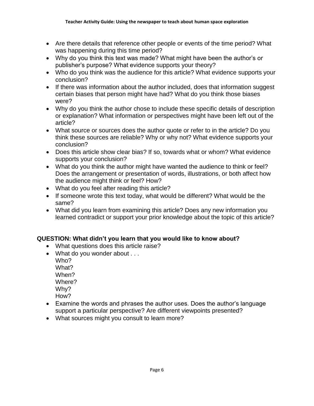- Are there details that reference other people or events of the time period? What was happening during this time period?
- Why do you think this text was made? What might have been the author's or publisher's purpose? What evidence supports your theory?
- Who do you think was the audience for this article? What evidence supports your conclusion?
- If there was information about the author included, does that information suggest certain biases that person might have had? What do you think those biases were?
- Why do you think the author chose to include these specific details of description or explanation? What information or perspectives might have been left out of the article?
- What source or sources does the author quote or refer to in the article? Do you think these sources are reliable? Why or why not? What evidence supports your conclusion?
- Does this article show clear bias? If so, towards what or whom? What evidence supports your conclusion?
- What do you think the author might have wanted the audience to think or feel? Does the arrangement or presentation of words, illustrations, or both affect how the audience might think or feel? How?
- What do you feel after reading this article?
- If someone wrote this text today, what would be different? What would be the same?
- What did you learn from examining this article? Does any new information you learned contradict or support your prior knowledge about the topic of this article?

## **QUESTION: What didn't you learn that you would like to know about?**

- What questions does this article raise?
- What do you wonder about . . .
	- Who? What? When? Where? Why? How?
- Examine the words and phrases the author uses. Does the author's language support a particular perspective? Are different viewpoints presented?
- What sources might you consult to learn more?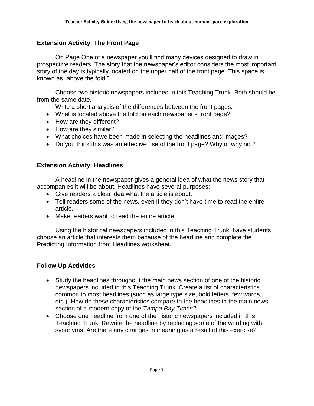## **Extension Activity: The Front Page**

On Page One of a newspaper you'll find many devices designed to draw in prospective readers. The story that the newspaper's editor considers the most important story of the day is typically located on the upper half of the front page. This space is known as "above the fold."

Choose two historic newspapers included in this Teaching Trunk. Both should be from the same date.

Write a short analysis of the differences between the front pages.

- What is located above the fold on each newspaper's front page?
- How are they different?
- How are they similar?
- What choices have been made in selecting the headlines and images?
- Do you think this was an effective use of the front page? Why or why not?

## **Extension Activity: Headlines**

A headline in the newspaper gives a general idea of what the news story that accompanies it will be about. Headlines have several purposes:

- Give readers a clear idea what the article is about.
- Tell readers some of the news, even if they don't have time to read the entire article.
- Make readers want to read the entire article.

Using the historical newspapers included in this Teaching Trunk, have students choose an article that interests them because of the headline and complete the Predicting Information from Headlines worksheet.

## **Follow Up Activities**

- Study the headlines throughout the main news section of one of the historic newspapers included in this Teaching Trunk. Create a list of characteristics common to most headlines (such as large type size, bold letters, few words, etc.). How do these characteristics compare to the headlines in the main news section of a modern copy of the *Tampa Bay Times*?
- Choose one headline from one of the historic newspapers included in this Teaching Trunk. Rewrite the headline by replacing some of the wording with synonyms. Are there any changes in meaning as a result of this exercise?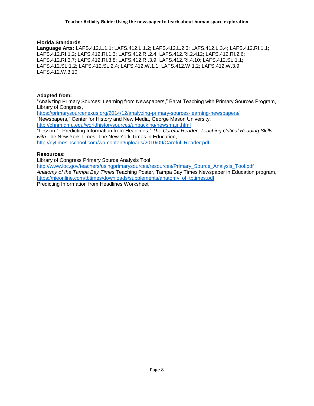#### **Florida Standards**

**Language Arts:** LAFS.412.L.1.1; LAFS.412.L.1.2; LAFS.412.L.2.3; LAFS.412.L.3.4; LAFS.412.RI.1.1; LAFS.412.RI.1.2; LAFS.412.RI.1.3; LAFS.412.RI.2.4; LAFS.412.RI.2.412; LAFS.412.RI.2.6; LAFS.412.RI.3.7; LAFS.412.RI.3.8; LAFS.412.RI.3.9; LAFS.412.RI.4.10; LAFS.412.SL.1.1; LAFS.412.SL.1.2; LAFS.412.SL.2.4; LAFS.412.W.1.1; LAFS.412.W.1.2; LAFS.412.W.3.9; LAFS.412.W.3.10

#### **Adapted from:**

"Analyzing Primary Sources: Learning from Newspapers," Barat Teaching with Primary Sources Program, Library of Congress,

<https://primarysourcenexus.org/2014/12/analyzing-primary-sources-learning-newspapers/> "Newspapers," Center for History and New Media, George Mason University, <http://chnm.gmu.edu/worldhistorysources/unpacking/newsmain.html>

"Lesson 1: Predicting Information from Headlines," *The Careful Reader: Teaching Critical Reading Skills with* The New York Times, The New York Times in Education,

[http://nytimesinschool.com/wp-content/uploads/2010/09/Careful\\_Reader.pdf](http://nytimesinschool.com/wp-content/uploads/2010/09/Careful_Reader.pdf)

#### **Resources:**

Library of Congress Primary Source Analysis Tool,

[http://www.loc.gov/teachers/usingprimarysources/resources/Primary\\_Source\\_Analysis\\_Tool.pdf](http://www.loc.gov/teachers/usingprimarysources/resources/Primary_Source_Analysis_Tool.pdf) *Anatomy of the Tampa Bay Times* Teaching Poster, Tampa Bay Times Newspaper in Education program, [https://nieonline.com/tbtimes/downloads/supplements/anatomy\\_of\\_tbtimes.pdf](https://nieonline.com/tbtimes/downloads/supplements/anatomy_of_tbtimes.pdf) Predicting Information from Headlines Worksheet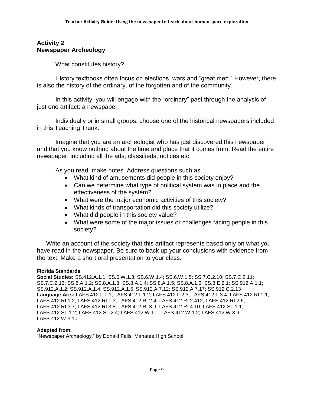## <span id="page-8-0"></span>**Activity 2 Newspaper Archeology**

What constitutes history?

History textbooks often focus on elections, wars and "great men." However, there is also the history of the ordinary, of the forgotten and of the community.

In this activity, you will engage with the "ordinary" past through the analysis of just one artifact: a newspaper.

Individually or in small groups, choose one of the historical newspapers included in this Teaching Trunk.

Imagine that you are an archeologist who has just discovered this newspaper and that you know nothing about the time and place that it comes from. Read the entire newspaper, including all the ads, classifieds, notices etc.

As you read, make notes. Address questions such as:

- What kind of amusements did people in this society enjoy?
- Can we determine what type of political system was in place and the effectiveness of the system?
- What were the major economic activities of this society?
- What kinds of transportation did this society utilize?
- What did people in this society value?
- What were some of the major issues or challenges facing people in this society?

Write an account of the society that this artifact represents based only on what you have read in the newspaper. Be sure to back up your conclusions with evidence from the text. Make a short oral presentation to your class.

#### **Florida Standards**

**Social Studies:** SS.412.A.1.1; SS.6.W.1.3; SS.6.W.1.4; SS.6.W.1.5; SS.7.C.2.10; SS.7.C.2.11; SS.7.C.2.13; SS.8.A.1.2; SS.8.A.1.3; SS.8.A.1.4; SS.8.A.1.5; SS.8.A.1.6; SS.8.E.2.1; SS.912.A.1.1; SS.912.A.1.2; SS.912.A.1.4; SS.912.A.1.5; SS.912.A.7.12; SS.912.A.7.17; SS.912.C.2.13 **Language Arts:** LAFS.412.L.1.1; LAFS.412.L.1.2; LAFS.412.L.2.3; LAFS.412.L.3.4; LAFS.412.RI.1.1; LAFS.412.RI.1.2; LAFS.412.RI.1.3; LAFS.412.RI.2.4; LAFS.412.RI.2.412; LAFS.412.RI.2.6; LAFS.412.RI.3.7; LAFS.412.RI.3.8; LAFS.412.RI.3.9; LAFS.412.RI.4.10; LAFS.412.SL.1.1; LAFS.412.SL.1.2; LAFS.412.SL.2.4; LAFS.412.W.1.1; LAFS.412.W.1.2; LAFS.412.W.3.9; LAFS.412.W.3.10

#### **Adapted from:**

"Newspaper Archeology," by Donald Falls, Manatee High School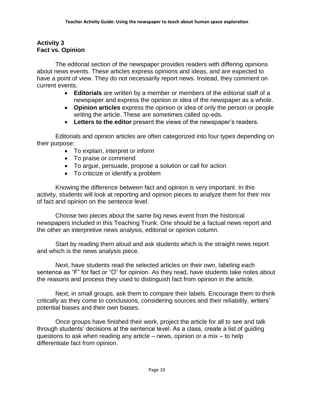## <span id="page-9-0"></span>**Activity 3 Fact vs. Opinion**

The editorial section of the newspaper provides readers with differing opinions about news events. These articles express opinions and ideas, and are expected to have a point of view. They do not necessarily report news. Instead, they comment on current events.

- **Editorials** are written by a member or members of the editorial staff of a newspaper and express the opinion or idea of the newspaper as a whole.
- **Opinion articles** express the opinion or idea of only the person or people writing the article. These are sometimes called op-eds.
- **Letters to the editor** present the views of the newspaper's readers.

Editorials and opinion articles are often categorized into four types depending on their purpose:

- To explain, interpret or inform
- To praise or commend
- To argue, persuade, propose a solution or call for action
- To criticize or identify a problem

Knowing the difference between fact and opinion is very important. In this activity, students will look at reporting and opinion pieces to analyze them for their mix of fact and opinion on the sentence level.

Choose two pieces about the same big news event from the historical newspapers included in this Teaching Trunk. One should be a factual news report and the other an interpretive news analysis, editorial or opinion column.

Start by reading them aloud and ask students which is the straight news report and which is the news analysis piece.

Next, have students read the selected articles on their own, labeling each sentence as "F" for fact or "O" for opinion. As they read, have students take notes about the reasons and process they used to distinguish fact from opinion in the article.

Next, in small groups, ask them to compare their labels. Encourage them to think critically as they come to conclusions, considering sources and their reliability, writers' potential biases and their own biases.

Once groups have finished their work, project the article for all to see and talk through students' decisions at the sentence level. As a class, create a list of guiding questions to ask when reading any article – news, opinion or a mix – to help differentiate fact from opinion.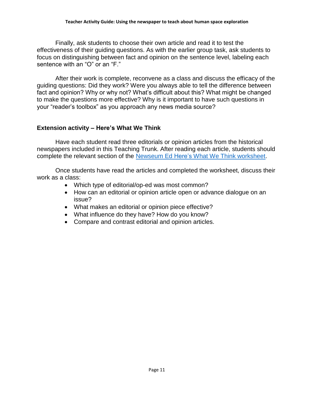Finally, ask students to choose their own article and read it to test the effectiveness of their guiding questions. As with the earlier group task, ask students to focus on distinguishing between fact and opinion on the sentence level, labeling each sentence with an "O" or an "F."

After their work is complete, reconvene as a class and discuss the efficacy of the guiding questions: Did they work? Were you always able to tell the difference between fact and opinion? Why or why not? What's difficult about this? What might be changed to make the questions more effective? Why is it important to have such questions in your "reader's toolbox" as you approach any news media source?

## **Extension activity – Here's What We Think**

Have each student read three editorials or opinion articles from the historical newspapers included in this Teaching Trunk. After reading each article, students should complete the relevant section of the [Newseum Ed Here's What We Think worksheet.](https://newseumed.org/sites/default/files/legacy/2017/12/MLBP-Worksheet-Heres-What-We-Think.pdf)

Once students have read the articles and completed the worksheet, discuss their work as a class:

- Which type of editorial/op-ed was most common?
- How can an editorial or opinion article open or advance dialogue on an issue?
- What makes an editorial or opinion piece effective?
- What influence do they have? How do you know?
- Compare and contrast editorial and opinion articles.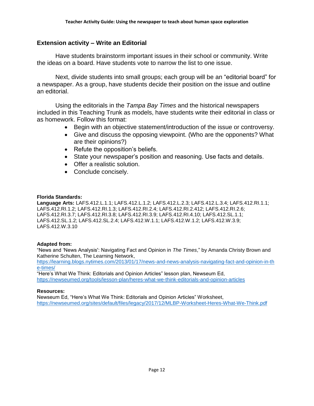## **Extension activity – Write an Editorial**

Have students brainstorm important issues in their school or community. Write the ideas on a board. Have students vote to narrow the list to one issue.

Next, divide students into small groups; each group will be an "editorial board" for a newspaper. As a group, have students decide their position on the issue and outline an editorial.

Using the editorials in the *Tampa Bay Times* and the historical newspapers included in this Teaching Trunk as models, have students write their editorial in class or as homework. Follow this format:

- Begin with an objective statement/introduction of the issue or controversy.
- Give and discuss the opposing viewpoint. (Who are the opponents? What are their opinions?)
- Refute the opposition's beliefs.
- State your newspaper's position and reasoning. Use facts and details.
- Offer a realistic solution.
- Conclude concisely.

#### **Florida Standards:**

**Language Arts:** LAFS.412.L.1.1; LAFS.412.L.1.2; LAFS.412.L.2.3; LAFS.412.L.3.4; LAFS.412.RI.1.1; LAFS.412.RI.1.2; LAFS.412.RI.1.3; LAFS.412.RI.2.4; LAFS.412.RI.2.412; LAFS.412.RI.2.6; LAFS.412.RI.3.7; LAFS.412.RI.3.8; LAFS.412.RI.3.9; LAFS.412.RI.4.10; LAFS.412.SL.1.1; LAFS.412.SL.1.2; LAFS.412.SL.2.4; LAFS.412.W.1.1; LAFS.412.W.1.2; LAFS.412.W.3.9; LAFS.412.W.3.10

#### **Adapted from:**

"News and 'News Analysis': Navigating Fact and Opinion in *The Times*," by Amanda Christy Brown and Katherine Schulten, The Learning Network,

[https://learning.blogs.nytimes.com/2013/01/17/news-and-news-analysis-navigating-fact-and-opinion-in-th](https://learning.blogs.nytimes.com/2013/01/17/news-and-news-analysis-navigating-fact-and-opinion-in-the-times/) [e-times/](https://learning.blogs.nytimes.com/2013/01/17/news-and-news-analysis-navigating-fact-and-opinion-in-the-times/)

"Here's What We Think: Editorials and Opinion Articles" lesson plan, Newseum Ed, <https://newseumed.org/tools/lesson-plan/heres-what-we-think-editorials-and-opinion-articles>

#### **Resources:**

Newseum Ed, "Here's What We Think: Editorials and Opinion Articles" Worksheet, <https://newseumed.org/sites/default/files/legacy/2017/12/MLBP-Worksheet-Heres-What-We-Think.pdf>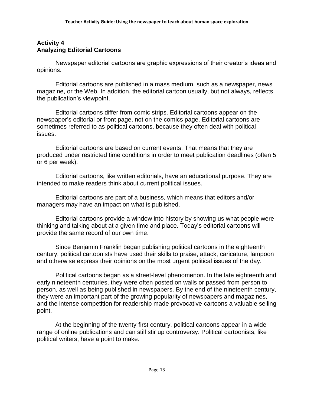## <span id="page-12-0"></span>**Activity 4 Analyzing Editorial Cartoons**

Newspaper editorial cartoons are graphic expressions of their creator's ideas and opinions.

Editorial cartoons are published in a mass medium, such as a newspaper, news magazine, or the Web. In addition, the editorial cartoon usually, but not always, reflects the publication's viewpoint.

Editorial cartoons differ from comic strips. Editorial cartoons appear on the newspaper's editorial or front page, not on the comics page. Editorial cartoons are sometimes referred to as political cartoons, because they often deal with political issues.

Editorial cartoons are based on current events. That means that they are produced under restricted time conditions in order to meet publication deadlines (often 5 or 6 per week).

Editorial cartoons, like written editorials, have an educational purpose. They are intended to make readers think about current political issues.

Editorial cartoons are part of a business, which means that editors and/or managers may have an impact on what is published.

Editorial cartoons provide a window into history by showing us what people were thinking and talking about at a given time and place. Today's editorial cartoons will provide the same record of our own time.

Since Benjamin Franklin began publishing political cartoons in the eighteenth century, political cartoonists have used their skills to praise, attack, caricature, lampoon and otherwise express their opinions on the most urgent political issues of the day.

Political cartoons began as a street-level phenomenon. In the late eighteenth and early nineteenth centuries, they were often posted on walls or passed from person to person, as well as being published in newspapers. By the end of the nineteenth century, they were an important part of the growing popularity of newspapers and magazines, and the intense competition for readership made provocative cartoons a valuable selling point.

At the beginning of the twenty-first century, political cartoons appear in a wide range of online publications and can still stir up controversy. Political cartoonists, like political writers, have a point to make.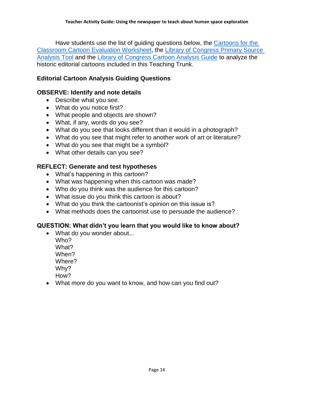Have students use the list of guiding questions below, the [Cartoons for the](https://nieonline.com/cftc/pdfs/eval.pdf)  [Classroom Cartoon Evaluation Worksheet,](https://nieonline.com/cftc/pdfs/eval.pdf) the Library of [Congress Primary Source](http://www.loc.gov/teachers/usingprimarysources/resources/Primary_Source_Analysis_Tool.pdf)  [Analysis Tool](http://www.loc.gov/teachers/usingprimarysources/resources/Primary_Source_Analysis_Tool.pdf) and the [Library of Congress Cartoon Analysis Guide](http://www.loc.gov/teachers/classroommaterials/presentationsandactivities/activities/political-cartoon/cag.html) to analyze the historic editorial cartoons included in this Teaching Trunk.

## **Editorial Cartoon Analysis Guiding Questions**

## **OBSERVE: Identify and note details**

- Describe what you see.
- What do you notice first?
- What people and objects are shown?
- What, if any, words do you see?
- What do you see that looks different than it would in a photograph?
- What do you see that might refer to another work of art or literature?
- What do you see that might be a symbol?
- What other details can you see?

## **REFLECT: Generate and test hypotheses**

- What's happening in this cartoon?
- What was happening when this cartoon was made?
- Who do you think was the audience for this cartoon?
- What issue do you think this cartoon is about?
- What do you think the cartoonist's opinion on this issue is?
- What methods does the cartoonist use to persuade the audience?

## **QUESTION: What didn't you learn that you would like to know about?**

- What do you wonder about...
	- Who? What? When? Where?

Why?

- How?
- What more do you want to know, and how can you find out?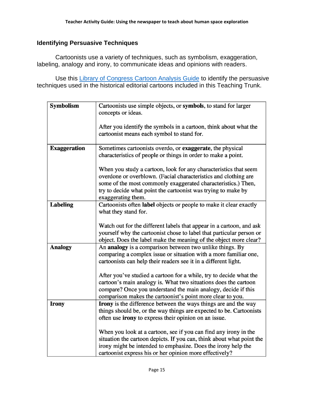## **Identifying Persuasive Techniques**

Cartoonists use a variety of techniques, such as symbolism, exaggeration, labeling, analogy and irony, to communicate ideas and opinions with readers.

Use this [Library of Congress Cartoon Analysis Guide](http://www.loc.gov/teachers/classroommaterials/presentationsandactivities/activities/political-cartoon/cag.html) to identify the persuasive techniques used in the historical editorial cartoons included in this Teaching Trunk.

| <b>Symbolism</b>    | Cartoonists use simple objects, or symbols, to stand for larger<br>concepts or ideas.                                                                                                                                                                                                       |
|---------------------|---------------------------------------------------------------------------------------------------------------------------------------------------------------------------------------------------------------------------------------------------------------------------------------------|
|                     |                                                                                                                                                                                                                                                                                             |
|                     | After you identify the symbols in a cartoon, think about what the<br>cartoonist means each symbol to stand for.                                                                                                                                                                             |
| <b>Exaggeration</b> | Sometimes cartoonists overdo, or exaggerate, the physical<br>characteristics of people or things in order to make a point.                                                                                                                                                                  |
|                     | When you study a cartoon, look for any characteristics that seem<br>overdone or overblown. (Facial characteristics and clothing are<br>some of the most commonly exaggerated characteristics.) Then,<br>try to decide what point the cartoonist was trying to make by<br>exaggerating them. |
| <b>Labeling</b>     | Cartoonists often label objects or people to make it clear exactly<br>what they stand for.                                                                                                                                                                                                  |
|                     | Watch out for the different labels that appear in a cartoon, and ask<br>yourself why the cartoonist chose to label that particular person or<br>object. Does the label make the meaning of the object more clear?                                                                           |
| <b>Analogy</b>      | An analogy is a comparison between two unlike things. By<br>comparing a complex issue or situation with a more familiar one,<br>cartoonists can help their readers see it in a different light.                                                                                             |
|                     | After you've studied a cartoon for a while, try to decide what the<br>cartoon's main analogy is. What two situations does the cartoon<br>compare? Once you understand the main analogy, decide if this<br>comparison makes the cartoonist's point more clear to you.                        |
| <b>Irony</b>        | Irony is the difference between the ways things are and the way<br>things should be, or the way things are expected to be. Cartoonists<br>often use <b>irony</b> to express their opinion on an issue.                                                                                      |
|                     | When you look at a cartoon, see if you can find any irony in the<br>situation the cartoon depicts. If you can, think about what point the<br>irony might be intended to emphasize. Does the irony help the<br>cartoonist express his or her opinion more effectively?                       |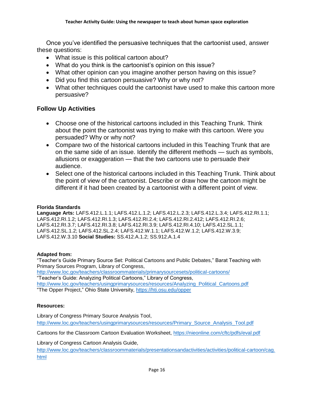Once you've identified the persuasive techniques that the cartoonist used, answer these questions:

- What issue is this political cartoon about?
- What do you think is the cartoonist's opinion on this issue?
- What other opinion can you imagine another person having on this issue?
- Did you find this cartoon persuasive? Why or why not?
- What other techniques could the cartoonist have used to make this cartoon more persuasive?

## **Follow Up Activities**

- Choose one of the historical cartoons included in this Teaching Trunk. Think about the point the cartoonist was trying to make with this cartoon. Were you persuaded? Why or why not?
- Compare two of the historical cartoons included in this Teaching Trunk that are on the same side of an issue. Identify the different methods — such as symbols, allusions or exaggeration — that the two cartoons use to persuade their audience.
- Select one of the historical cartoons included in this Teaching Trunk. Think about the point of view of the cartoonist. Describe or draw how the cartoon might be different if it had been created by a cartoonist with a different point of view.

#### **Florida Standards**

**Language Arts:** LAFS.412.L.1.1; LAFS.412.L.1.2; LAFS.412.L.2.3; LAFS.412.L.3.4; LAFS.412.RI.1.1; LAFS.412.RI.1.2; LAFS.412.RI.1.3; LAFS.412.RI.2.4; LAFS.412.RI.2.412; LAFS.412.RI.2.6; LAFS.412.RI.3.7; LAFS.412.RI.3.8; LAFS.412.RI.3.9; LAFS.412.RI.4.10; LAFS.412.SL.1.1; LAFS.412.SL.1.2; LAFS.412.SL.2.4; LAFS.412.W.1.1; LAFS.412.W.1.2; LAFS.412.W.3.9; LAFS.412.W.3.10 **Social Studies:** SS.412.A.1.2; SS.912.A.1.4

#### **Adapted from:**

"Teacher's Guide Primary Source Set: Political Cartoons and Public Debates," Barat Teaching with Primary Sources Program, Library of Congress, <http://www.loc.gov/teachers/classroommaterials/primarysourcesets/political-cartoons/> "Teacher's Guide: Analyzing Political Cartoons," Library of Congress, [http://www.loc.gov/teachers/usingprimarysources/resources/Analyzing\\_Political\\_Cartoons.pdf](http://www.loc.gov/teachers/usingprimarysources/resources/Analyzing_Political_Cartoons.pdf) "The Opper Project," Ohio State University,<https://hti.osu.edu/opper>

#### **Resources:**

Library of Congress Primary Source Analysis Tool, [http://www.loc.gov/teachers/usingprimarysources/resources/Primary\\_Source\\_Analysis\\_Tool.pdf](http://www.loc.gov/teachers/usingprimarysources/resources/Primary_Source_Analysis_Tool.pdf)

Cartoons for the Classroom Cartoon Evaluation Worksheet,<https://nieonline.com/cftc/pdfs/eval.pdf>

Library of Congress Cartoon Analysis Guide,

[http://www.loc.gov/teachers/classroommaterials/presentationsandactivities/activities/political-cartoon/cag.](http://www.loc.gov/teachers/classroommaterials/presentationsandactivities/activities/political-cartoon/cag.html) [html](http://www.loc.gov/teachers/classroommaterials/presentationsandactivities/activities/political-cartoon/cag.html)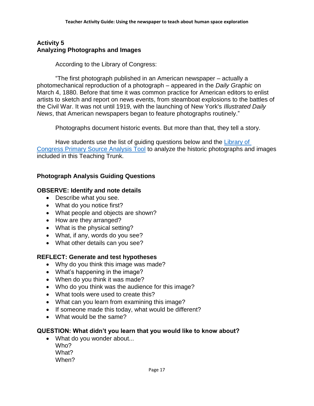## <span id="page-16-0"></span>**Activity 5 Analyzing Photographs and Images**

According to the Library of Congress:

"The first photograph published in an American newspaper – actually a photomechanical reproduction of a photograph – appeared in the *Daily Graphic* on March 4, 1880. Before that time it was common practice for American editors to enlist artists to sketch and report on news events, from steamboat explosions to the battles of the Civil War. It was not until 1919, with the launching of New York's *Illustrated Daily News*, that American newspapers began to feature photographs routinely."

Photographs document historic events. But more than that, they tell a story.

Have students use the list of guiding questions below and the Library of [Congress Primary Source Analysis Tool](http://www.loc.gov/teachers/usingprimarysources/resources/Primary_Source_Analysis_Tool.pdf) to analyze the historic photographs and images included in this Teaching Trunk.

## **Photograph Analysis Guiding Questions**

## **OBSERVE: Identify and note details**

- Describe what you see.
- What do you notice first?
- What people and objects are shown?
- How are they arranged?
- What is the physical setting?
- What, if any, words do you see?
- What other details can you see?

## **REFLECT: Generate and test hypotheses**

- Why do you think this image was made?
- What's happening in the image?
- When do you think it was made?
- Who do you think was the audience for this image?
- What tools were used to create this?
- What can you learn from examining this image?
- If someone made this today, what would be different?
- What would be the same?

## **QUESTION: What didn't you learn that you would like to know about?**

• What do you wonder about... Who? What? When?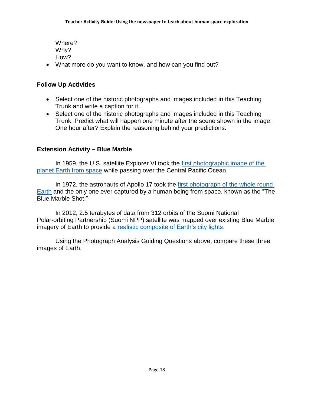Where? Why? How?

What more do you want to know, and how can you find out?

## **Follow Up Activities**

- Select one of the historic photographs and images included in this Teaching Trunk and write a caption for it.
- Select one of the historic photographs and images included in this Teaching Trunk. Predict what will happen one minute after the scene shown in the image. One hour after? Explain the reasoning behind your predictions.

## **Extension Activity – Blue Marble**

In 1959, the U.S. satellite Explorer VI took the [first photographic image of the](https://upload.wikimedia.org/wikipedia/commons/f/fd/First_satellite_photo_-_Explorer_VI.jpg)  [planet Earth from space](https://upload.wikimedia.org/wikipedia/commons/f/fd/First_satellite_photo_-_Explorer_VI.jpg) while passing over the Central Pacific Ocean.

In 1972, the astronauts of Apollo 17 took the [first photograph of the whole round](https://www.nasa.gov/sites/default/files/images/135918main_bm1_high.jpg)  [Earth](https://www.nasa.gov/sites/default/files/images/135918main_bm1_high.jpg) and the only one ever captured by a human being from space, known as the "The Blue Marble Shot."

In 2012, 2.5 terabytes of data from 312 orbits of the Suomi National Polar-orbiting Partnership (Suomi NPP) satellite was mapped over existing Blue Marble imagery of Earth to provide a [realistic composite of Earth's city lights.](https://images-assets.nasa.gov/image/GSFC_20171208_Archive_e001588/GSFC_20171208_Archive_e001588~orig.jpg)

Using the Photograph Analysis Guiding Questions above, compare these three images of Earth.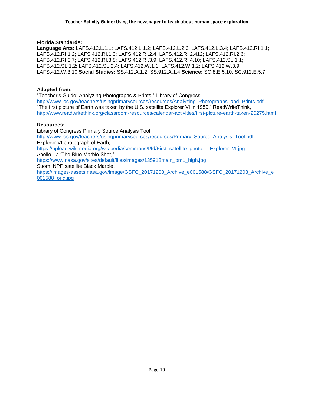#### **Florida Standards:**

**Language Arts:** LAFS.412.L.1.1; LAFS.412.L.1.2; LAFS.412.L.2.3; LAFS.412.L.3.4; LAFS.412.RI.1.1; LAFS.412.RI.1.2; LAFS.412.RI.1.3; LAFS.412.RI.2.4; LAFS.412.RI.2.412; LAFS.412.RI.2.6; LAFS.412.RI.3.7; LAFS.412.RI.3.8; LAFS.412.RI.3.9; LAFS.412.RI.4.10; LAFS.412.SL.1.1; LAFS.412.SL.1.2; LAFS.412.SL.2.4; LAFS.412.W.1.1; LAFS.412.W.1.2; LAFS.412.W.3.9; LAFS.412.W.3.10 **Social Studies:** SS.412.A.1.2; SS.912.A.1.4 **Science:** SC.8.E.5.10; SC.912.E.5.7

#### **Adapted from:**

"Teacher's Guide: Analyzing Photographs & Prints," Library of Congress,

[http://www.loc.gov/teachers/usingprimarysources/resources/Analyzing\\_Photographs\\_and\\_Prints.pdf](http://www.loc.gov/teachers/usingprimarysources/resources/Analyzing_Photographs_and_Prints.pdf) "The first picture of Earth was taken by the U.S. satellite Explorer VI in 1959," ReadWriteThink, <http://www.readwritethink.org/classroom-resources/calendar-activities/first-picture-earth-taken-20275.html>

#### **Resources:**

Library of Congress Primary Source Analysis Tool, [http://www.loc.gov/teachers/usingprimarysources/resources/Primary\\_Source\\_Analysis\\_Tool.pdf.](http://www.loc.gov/teachers/usingprimarysources/resources/Primary_Source_Analysis_Tool.pdf) Explorer VI photograph of Earth, [https://upload.wikimedia.org/wikipedia/commons/f/fd/First\\_satellite\\_photo\\_-\\_Explorer\\_VI.jpg](https://upload.wikimedia.org/wikipedia/commons/f/fd/First_satellite_photo_-_Explorer_VI.jpg) Apollo 17 "The Blue Marble Shot," [https://www.nasa.gov/sites/default/files/images/135918main\\_bm1\\_high.jpg](https://www.nasa.gov/sites/default/files/images/135918main_bm1_high.jpg) Suomi NPP satellite Black Marble, [https://images-assets.nasa.gov/image/GSFC\\_20171208\\_Archive\\_e001588/GSFC\\_20171208\\_Archive\\_e](https://images-assets.nasa.gov/image/GSFC_20171208_Archive_e001588/GSFC_20171208_Archive_e001588~orig.jpg) [001588~orig.jpg](https://images-assets.nasa.gov/image/GSFC_20171208_Archive_e001588/GSFC_20171208_Archive_e001588~orig.jpg)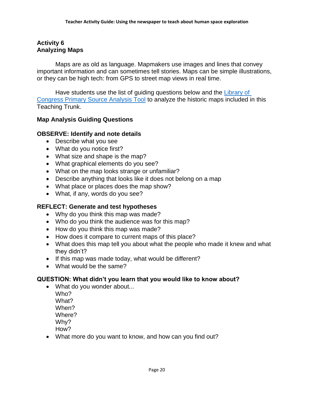## <span id="page-19-0"></span>**Activity 6 Analyzing Maps**

Maps are as old as language. Mapmakers use images and lines that convey important information and can sometimes tell stories. Maps can be simple illustrations, or they can be high tech: from GPS to street map views in real time.

Have students use the list of guiding questions below and the Library of [Congress Primary Source Analysis Tool](http://www.loc.gov/teachers/usingprimarysources/resources/Primary_Source_Analysis_Tool.pdf) to analyze the historic maps included in this Teaching Trunk.

## **Map Analysis Guiding Questions**

## **OBSERVE: Identify and note details**

- Describe what you see
- What do you notice first?
- What size and shape is the map?
- What graphical elements do you see?
- What on the map looks strange or unfamiliar?
- Describe anything that looks like it does not belong on a map
- What place or places does the map show?
- What, if any, words do you see?

## **REFLECT: Generate and test hypotheses**

- Why do you think this map was made?
- Who do you think the audience was for this map?
- How do you think this map was made?
- How does it compare to current maps of this place?
- What does this map tell you about what the people who made it knew and what they didn't?
- If this map was made today, what would be different?
- What would be the same?

## **QUESTION: What didn't you learn that you would like to know about?**

- What do you wonder about...
	- Who? What? When? Where? Why? How?
- What more do you want to know, and how can you find out?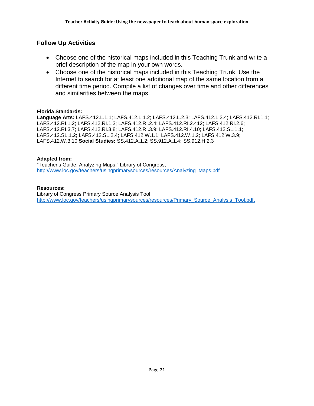## **Follow Up Activities**

- Choose one of the historical maps included in this Teaching Trunk and write a brief description of the map in your own words.
- Choose one of the historical maps included in this Teaching Trunk. Use the Internet to search for at least one additional map of the same location from a different time period. Compile a list of changes over time and other differences and similarities between the maps.

#### **Florida Standards:**

**Language Arts:** LAFS.412.L.1.1; LAFS.412.L.1.2; LAFS.412.L.2.3; LAFS.412.L.3.4; LAFS.412.RI.1.1; LAFS.412.RI.1.2; LAFS.412.RI.1.3; LAFS.412.RI.2.4; LAFS.412.RI.2.412; LAFS.412.RI.2.6; LAFS.412.RI.3.7; LAFS.412.RI.3.8; LAFS.412.RI.3.9; LAFS.412.RI.4.10; LAFS.412.SL.1.1; LAFS.412.SL.1.2; LAFS.412.SL.2.4; LAFS.412.W.1.1; LAFS.412.W.1.2; LAFS.412.W.3.9; LAFS.412.W.3.10 **Social Studies:** SS.412.A.1.2; SS.912.A.1.4**:** SS.912.H.2.3

#### **Adapted from:**

"Teacher's Guide: Analyzing Maps," Library of Congress, [http://www.loc.gov/teachers/usingprimarysources/resources/Analyzing\\_Maps.pdf](http://www.loc.gov/teachers/usingprimarysources/resources/Analyzing_Maps.pdf)

#### **Resources:**

Library of Congress Primary Source Analysis Tool, [http://www.loc.gov/teachers/usingprimarysources/resources/Primary\\_Source\\_Analysis\\_Tool.pdf.](http://www.loc.gov/teachers/usingprimarysources/resources/Primary_Source_Analysis_Tool.pdf)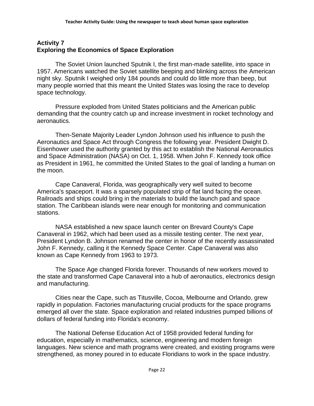## <span id="page-21-0"></span>**Activity 7 Exploring the Economics of Space Exploration**

The Soviet Union launched Sputnik I, the first man-made satellite, into space in 1957. Americans watched the Soviet satellite beeping and blinking across the American night sky. Sputnik I weighed only 184 pounds and could do little more than beep, but many people worried that this meant the United States was losing the race to develop space technology.

Pressure exploded from United States politicians and the American public demanding that the country catch up and increase investment in rocket technology and aeronautics.

Then-Senate Majority Leader Lyndon Johnson used his influence to push the Aeronautics and Space Act through Congress the following year. President Dwight D. Eisenhower used the authority granted by this act to establish the National Aeronautics and Space Administration (NASA) on Oct. 1, 1958. When John F. Kennedy took office as President in 1961, he committed the United States to the goal of landing a human on the moon.

Cape Canaveral, Florida, was geographically very well suited to become America's spaceport. It was a sparsely populated strip of flat land facing the ocean. Railroads and ships could bring in the materials to build the launch pad and space station. The Caribbean islands were near enough for monitoring and communication stations.

NASA established a new space launch center on Brevard County's Cape Canaveral in 1962, which had been used as a missile testing center. The next year, President Lyndon B. Johnson renamed the center in honor of the recently assassinated John F. Kennedy, calling it the Kennedy Space Center. Cape Canaveral was also known as Cape Kennedy from 1963 to 1973.

The Space Age changed Florida forever. Thousands of new workers moved to the state and transformed Cape Canaveral into a hub of aeronautics, electronics design and manufacturing.

Cities near the Cape, such as Titusville, Cocoa, Melbourne and Orlando, grew rapidly in population. Factories manufacturing crucial products for the space programs emerged all over the state. Space exploration and related industries pumped billions of dollars of federal funding into Florida's economy.

The National Defense Education Act of 1958 provided federal funding for education, especially in mathematics, science, engineering and modern foreign languages. New science and math programs were created, and existing programs were strengthened, as money poured in to educate Floridians to work in the space industry.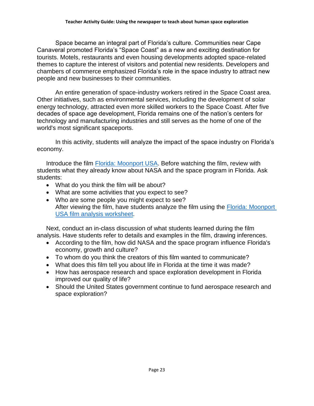Space became an integral part of Florida's culture. Communities near Cape Canaveral promoted Florida's "Space Coast" as a new and exciting destination for tourists. Motels, restaurants and even housing developments adopted space-related themes to capture the interest of visitors and potential new residents. Developers and chambers of commerce emphasized Florida's role in the space industry to attract new people and new businesses to their communities.

An entire generation of space-industry workers retired in the Space Coast area. Other initiatives, such as environmental services, including the development of solar energy technology, attracted even more skilled workers to the Space Coast. After five decades of space age development, Florida remains one of the nation's centers for technology and manufacturing industries and still serves as the home of one of the world's most significant spaceports.

In this activity, students will analyze the impact of the space industry on Florida's economy.

Introduce the film **Florida: Moonport USA**. Before watching the film, review with students what they already know about NASA and the space program in Florida. Ask students:

- What do you think the film will be about?
- What are some activities that you expect to see?
- Who are some people you might expect to see? After viewing the film, have students analyze the film using the **Florida: Moonport** [USA film analysis worksheet.](https://www.floridamemory.com/fpc/memory/onlineclassroom/nasa/lessonplans/worksheets/MoonportUSA-Film-Analysis-Worksheet4.pdf)

Next, conduct an in-class discussion of what students learned during the film analysis. Have students refer to details and examples in the film, drawing inferences.

- According to the film, how did NASA and the space program influence Florida's economy, growth and culture?
- To whom do you think the creators of this film wanted to communicate?
- What does this film tell you about life in Florida at the time it was made?
- How has aerospace research and space exploration development in Florida improved our quality of life?
- Should the United States government continue to fund aerospace research and space exploration?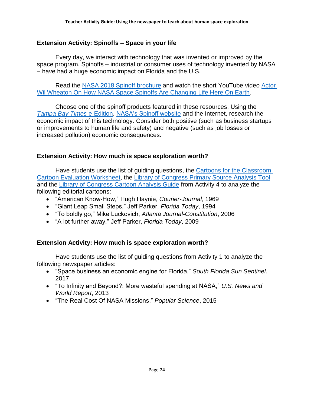## **Extension Activity: Spinoffs – Space in your life**

Every day, we interact with technology that was invented or improved by the space program. Spinoffs – industrial or consumer uses of technology invented by NASA – have had a huge economic impact on Florida and the U.S.

Read the [NASA 2018 Spinoff brochure](https://spinoff.nasa.gov/Spinoff2018/pdf/2018_Brochure_web.pdf) and watch the short YouTube video [Actor](https://youtu.be/RL6zfowq2Xc)  [Wil Wheaton On How NASA Space Spinoffs Are Changing Life Here On Earth.](https://youtu.be/RL6zfowq2Xc)

Choose one of the spinoff products featured in these resources. Using the *[Tampa Bay Times](https://tampabaytimes-fl.newsmemory.com/nie.php)* e-Edition, [NASA's Spinoff website](https://spinoff.nasa.gov/) and the Internet, research the economic impact of this technology. Consider both positive (such as business startups or improvements to human life and safety) and negative (such as job losses or increased pollution) economic consequences.

## **Extension Activity: How much is space exploration worth?**

Have students use the list of guiding questions, the [Cartoons for the Classroom](https://nieonline.com/cftc/pdfs/eval.pdf)  [Cartoon Evaluation Worksheet,](https://nieonline.com/cftc/pdfs/eval.pdf) the [Library of Congress Primary Source Analysis Tool](http://www.loc.gov/teachers/usingprimarysources/resources/Primary_Source_Analysis_Tool.pdf) and the [Library of Congress Cartoon Analysis Guide](http://www.loc.gov/teachers/classroommaterials/presentationsandactivities/activities/political-cartoon/cag.html) from Activity 4 to analyze the following editorial cartoons:

- "American Know-How," Hugh Haynie, *Courier-Journal*, 1969
- "Giant Leap Small Steps," Jeff Parker, *Florida Today*, 1994
- "To boldly go," Mike Luckovich, *Atlanta Journal-Constitution*, 2006
- "A lot further away," Jeff Parker, *Florida Today*, 2009

## **Extension Activity: How much is space exploration worth?**

Have students use the list of guiding questions from Activity 1 to analyze the following newspaper articles:

- "Space business an economic engine for Florida," *South Florida Sun Sentinel*, 2017
- "To Infinity and Beyond?: More wasteful spending at NASA," *U.S. News and World Report*, 2013
- "The Real Cost Of NASA Missions," *Popular Science*, 2015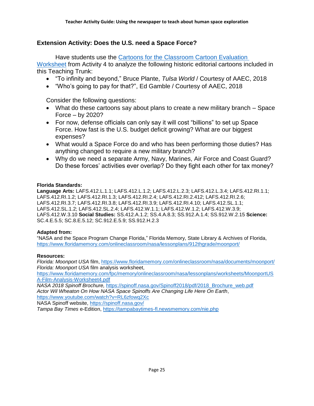## **Extension Activity: Does the U.S. need a Space Force?**

Have students use the [Cartoons for the Classroom Cartoon Evaluation](https://nieonline.com/cftc/pdfs/eval.pdf)  [Worksheet](https://nieonline.com/cftc/pdfs/eval.pdf) from Activity 4 to analyze the following historic editorial cartoons included in this Teaching Trunk:

- "To infinity and beyond," Bruce Plante, *Tulsa World* / Courtesy of AAEC, 2018
- "Who's going to pay for that?", Ed Gamble / Courtesy of AAEC, 2018

Consider the following questions:

- What do these cartoons say about plans to create a new military branch Space Force – by 2020?
- For now, defense officials can only say it will cost "billions" to set up Space Force. How fast is the U.S. budget deficit growing? What are our biggest expenses?
- What would a Space Force do and who has been performing those duties? Has anything changed to require a new military branch?
- Why do we need a separate Army, Navy, Marines, Air Force and Coast Guard? Do these forces' activities ever overlap? Do they fight each other for tax money?

#### **Florida Standards:**

**Language Arts:** LAFS.412.L.1.1; LAFS.412.L.1.2; LAFS.412.L.2.3; LAFS.412.L.3.4; LAFS.412.RI.1.1; LAFS.412.RI.1.2; LAFS.412.RI.1.3; LAFS.412.RI.2.4; LAFS.412.RI.2.412; LAFS.412.RI.2.6; LAFS.412.RI.3.7; LAFS.412.RI.3.8; LAFS.412.RI.3.9; LAFS.412.RI.4.10; LAFS.412.SL.1.1; LAFS.412.SL.1.2; LAFS.412.SL.2.4; LAFS.412.W.1.1; LAFS.412.W.1.2; LAFS.412.W.3.9; LAFS.412.W.3.10 **Social Studies:** SS.412.A.1.2; SS.4.A.8.3; SS.912.A.1.4; SS.912.W.2.15 **Science:** SC.4.E.5.5; SC.8.E.5.12; SC.912.E.5.9; SS.912.H.2.3

#### **Adapted from:**

"NASA and the Space Program Change Florida," Florida Memory, State Library & Archives of Florida, <https://www.floridamemory.com/onlineclassroom/nasa/lessonplans/912thgrade/moonport/>

#### **Resources:**

*Florida: Moonport USA* film,<https://www.floridamemory.com/onlineclassroom/nasa/documents/moonport/> *Florida: Moonport USA* film analysis worksheet,

[https://www.floridamemory.com/fpc/memory/onlineclassroom/nasa/lessonplans/worksheets/MoonportUS](https://www.floridamemory.com/fpc/memory/onlineclassroom/nasa/lessonplans/worksheets/MoonportUSA-Film-Analysis-Worksheet4.pdf) [A-Film-Analysis-Worksheet4.pdf](https://www.floridamemory.com/fpc/memory/onlineclassroom/nasa/lessonplans/worksheets/MoonportUSA-Film-Analysis-Worksheet4.pdf)

*NASA 2018 Spinoff Brochure,* [https://spinoff.nasa.gov/Spinoff2018/pdf/2018\\_Brochure\\_web.pdf](https://spinoff.nasa.gov/Spinoff2018/pdf/2018_Brochure_web.pdf) *Actor Wil Wheaton On How NASA Space Spinoffs Are Changing Life Here On Earth*,

<https://www.youtube.com/watch?v=RL6zfowq2Xc>

NASA Spinoff website,<https://spinoff.nasa.gov/>

*Tampa Bay Times* e-Edition,<https://tampabaytimes-fl.newsmemory.com/nie.php>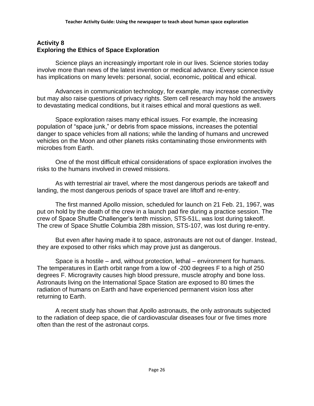## <span id="page-25-0"></span>**Activity 8 Exploring the Ethics of Space Exploration**

Science plays an increasingly important role in our lives. Science stories today involve more than news of the latest invention or medical advance. Every science issue has implications on many levels: personal, social, economic, political and ethical.

Advances in communication technology, for example, may increase connectivity but may also raise questions of privacy rights. Stem cell research may hold the answers to devastating medical conditions, but it raises ethical and moral questions as well.

Space exploration raises many ethical issues. For example, the increasing population of "space junk," or debris from space missions, increases the potential danger to space vehicles from all nations; while the landing of humans and uncrewed vehicles on the Moon and other planets risks contaminating those environments with microbes from Earth.

One of the most difficult ethical considerations of space exploration involves the risks to the humans involved in crewed missions.

As with terrestrial air travel, where the most dangerous periods are takeoff and landing, the most dangerous periods of space travel are liftoff and re-entry.

The first manned Apollo mission, scheduled for launch on 21 Feb. 21, 1967, was put on hold by the death of the crew in a launch pad fire during a practice session. The crew of Space Shuttle Challenger's tenth mission, STS-51L, was lost during takeoff. The crew of Space Shuttle Columbia 28th mission, STS-107, was lost during re-entry.

But even after having made it to space, astronauts are not out of danger. Instead, they are exposed to other risks which may prove just as dangerous.

Space is a hostile – and, without protection, lethal – environment for humans. The temperatures in Earth orbit range from a low of -200 degrees F to a high of 250 degrees F. Microgravity causes high blood pressure, muscle atrophy and bone loss. Astronauts living on the International Space Station are exposed to 80 times the radiation of humans on Earth and have experienced permanent vision loss after returning to Earth.

A recent study has shown that Apollo astronauts, the only astronauts subjected to the radiation of deep space, die of cardiovascular diseases four or five times more often than the rest of the astronaut corps.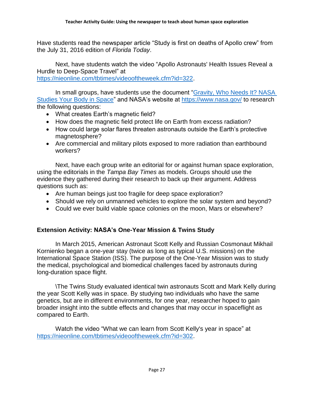Have students read the newspaper article "Study is first on deaths of Apollo crew" from the July 31, 2016 edition of *Florida Today*.

Next, have students watch the video "Apollo Astronauts' Health Issues Reveal a Hurdle to Deep-Space Travel" at [https://nieonline.com/tbtimes/videooftheweek.cfm?id=322.](https://nieonline.com/tbtimes/videooftheweek.cfm?id=322)

In small groups, have students use the document ["Gravity, Who Needs It? NASA](https://www.nasa.gov/hrp/bodyinspace)  [Studies Your Body in Space"](https://www.nasa.gov/hrp/bodyinspace) and NASA's website at<https://www.nasa.gov/> to research the following questions:

- What creates Earth's magnetic field?
- How does the magnetic field protect life on Earth from excess radiation?
- How could large solar flares threaten astronauts outside the Earth's protective magnetosphere?
- Are commercial and military pilots exposed to more radiation than earthbound workers?

Next, have each group write an editorial for or against human space exploration, using the editorials in the *Tampa Bay Times* as models. Groups should use the evidence they gathered during their research to back up their argument. Address questions such as:

- Are human beings just too fragile for deep space exploration?
- Should we rely on unmanned vehicles to explore the solar system and beyond?
- Could we ever build viable space colonies on the moon, Mars or elsewhere?

## **Extension Activity: NASA's One-Year Mission & Twins Study**

In March 2015, American Astronaut Scott Kelly and Russian Cosmonaut Mikhail Kornienko began a one-year stay (twice as long as typical U.S. missions) on the International Space Station (ISS). The purpose of the One-Year Mission was to study the medical, psychological and biomedical challenges faced by astronauts during long-duration space flight.

\The Twins Study evaluated identical twin astronauts Scott and Mark Kelly during the year Scott Kelly was in space. By studying two individuals who have the same genetics, but are in different environments, for one year, researcher hoped to gain broader insight into the subtle effects and changes that may occur in spaceflight as compared to Earth.

Watch the video "What we can learn from Scott Kelly's year in space" at [https://nieonline.com/tbtimes/videooftheweek.cfm?id=302.](https://nieonline.com/tbtimes/videooftheweek.cfm?id=302)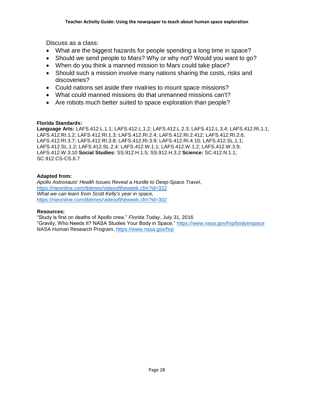Discuss as a class:

- What are the biggest hazards for people spending a long time in space?
- Should we send people to Mars? Why or why not? Would you want to go?
- When do you think a manned mission to Mars could take place?
- Should such a mission involve many nations sharing the costs, risks and discoveries?
- Could nations set aside their rivalries to mount space missions?
- What could manned missions do that unmanned missions can't?
- Are robots much better suited to space exploration than people?

## **Florida Standards:**

**Language Arts:** LAFS.412.L.1.1; LAFS.412.L.1.2; LAFS.412.L.2.3; LAFS.412.L.3.4; LAFS.412.RI.1.1; LAFS.412.RI.1.2; LAFS.412.RI.1.3; LAFS.412.RI.2.4; LAFS.412.RI.2.412; LAFS.412.RI.2.6; LAFS.412.RI.3.7; LAFS.412.RI.3.8; LAFS.412.RI.3.9; LAFS.412.RI.4.10; LAFS.412.SL.1.1; LAFS.412.SL.1.2; LAFS.412.SL.2.4; LAFS.412.W.1.1; LAFS.412.W.1.2; LAFS.412.W.3.9; LAFS.412.W.3.10 **Social Studies:** SS.912.H.1.5; SS.912.H.3.2 **Science:** SC.412.N.1.1; SC.912.CS-CS.6.7

## **Adapted from:**

*Apollo Astronauts' Health Issues Reveal a Hurdle to Deep-Space Travel*, <https://nieonline.com/tbtimes/videooftheweek.cfm?id=322> *What we can learn from Scott Kelly's year in space,*  <https://nieonline.com/tbtimes/videooftheweek.cfm?id=302>

#### **Resources:**

"Study is first on deaths of Apollo crew," *Florida Today*, July 31, 2016 "Gravity, Who Needs It? NASA Studies Your Body in Space," <https://www.nasa.gov/hrp/bodyinspace> NASA Human Research Program,<https://www.nasa.gov/hrp>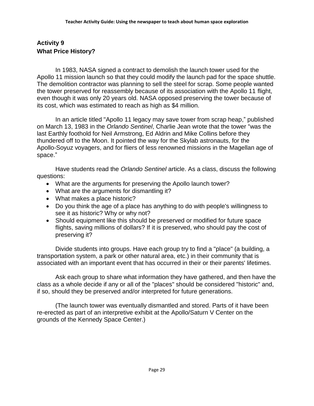## <span id="page-28-0"></span>**Activity 9 What Price History?**

In 1983, NASA signed a contract to demolish the launch tower used for the Apollo 11 mission launch so that they could modify the launch pad for the space shuttle. The demolition contractor was planning to sell the steel for scrap. Some people wanted the tower preserved for reassembly because of its association with the Apollo 11 flight, even though it was only 20 years old. NASA opposed preserving the tower because of its cost, which was estimated to reach as high as \$4 million.

In an article titled "Apollo 11 legacy may save tower from scrap heap," published on March 13, 1983 in the *Orlando Sentinel*, Charlie Jean wrote that the tower "was the last Earthly foothold for Neil Armstrong, Ed Aldrin and Mike Collins before they thundered off to the Moon. It pointed the way for the Skylab astronauts, for the Apollo-Soyuz voyagers, and for fliers of less renowned missions in the Magellan age of space."

Have students read the *Orlando Sentinel* article. As a class, discuss the following questions:

- What are the arguments for preserving the Apollo launch tower?
- What are the arguments for dismantling it?
- What makes a place historic?
- Do you think the age of a place has anything to do with people's willingness to see it as historic? Why or why not?
- Should equipment like this should be preserved or modified for future space flights, saving millions of dollars? If it is preserved, who should pay the cost of preserving it?

Divide students into groups. Have each group try to find a "place" (a building, a transportation system, a park or other natural area, etc.) in their community that is associated with an important event that has occurred in their or their parents' lifetimes.

Ask each group to share what information they have gathered, and then have the class as a whole decide if any or all of the "places" should be considered "historic" and, if so, should they be preserved and/or interpreted for future generations.

(The launch tower was eventually dismantled and stored. Parts of it have been re-erected as part of an interpretive exhibit at the Apollo/Saturn V Center on the grounds of the Kennedy Space Center.)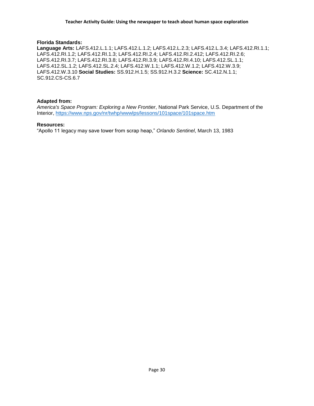#### **Florida Standards:**

**Language Arts:** LAFS.412.L.1.1; LAFS.412.L.1.2; LAFS.412.L.2.3; LAFS.412.L.3.4; LAFS.412.RI.1.1; LAFS.412.RI.1.2; LAFS.412.RI.1.3; LAFS.412.RI.2.4; LAFS.412.RI.2.412; LAFS.412.RI.2.6; LAFS.412.RI.3.7; LAFS.412.RI.3.8; LAFS.412.RI.3.9; LAFS.412.RI.4.10; LAFS.412.SL.1.1; LAFS.412.SL.1.2; LAFS.412.SL.2.4; LAFS.412.W.1.1; LAFS.412.W.1.2; LAFS.412.W.3.9; LAFS.412.W.3.10 **Social Studies:** SS.912.H.1.5; SS.912.H.3.2 **Science:** SC.412.N.1.1; SC.912.CS-CS.6.7

#### **Adapted from:**

*America's Space Program: Exploring a New Frontier*, National Park Service, U.S. Department of the Interior,<https://www.nps.gov/nr/twhp/wwwlps/lessons/101space/101space.htm>

#### **Resources:**

"Apollo 11 legacy may save tower from scrap heap," *Orlando Sentinel*, March 13, 1983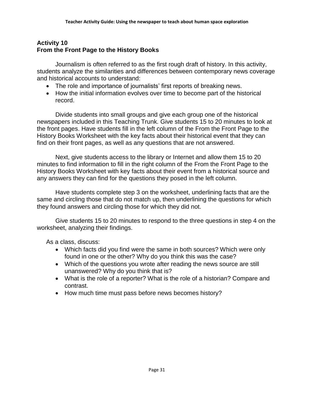## <span id="page-30-0"></span>**Activity 10 From the Front Page to the History Books**

Journalism is often referred to as the first rough draft of history. In this activity, students analyze the similarities and differences between contemporary news coverage and historical accounts to understand:

- The role and importance of journalists' first reports of breaking news.
- How the initial information evolves over time to become part of the historical record.

Divide students into small groups and give each group one of the historical newspapers included in this Teaching Trunk. Give students 15 to 20 minutes to look at the front pages. Have students fill in the left column of the From the Front Page to the History Books Worksheet with the key facts about their historical event that they can find on their front pages, as well as any questions that are not answered.

Next, give students access to the library or Internet and allow them 15 to 20 minutes to find information to fill in the right column of the From the Front Page to the History Books Worksheet with key facts about their event from a historical source and any answers they can find for the questions they posed in the left column.

Have students complete step 3 on the worksheet, underlining facts that are the same and circling those that do not match up, then underlining the questions for which they found answers and circling those for which they did not.

Give students 15 to 20 minutes to respond to the three questions in step 4 on the worksheet, analyzing their findings.

As a class, discuss:

- Which facts did you find were the same in both sources? Which were only found in one or the other? Why do you think this was the case?
- Which of the questions you wrote after reading the news source are still unanswered? Why do you think that is?
- What is the role of a reporter? What is the role of a historian? Compare and contrast.
- How much time must pass before news becomes history?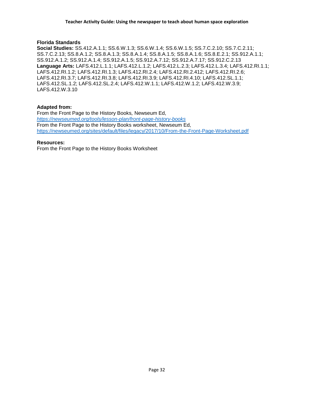#### **Florida Standards**

**Social Studies:** SS.412.A.1.1; SS.6.W.1.3; SS.6.W.1.4; SS.6.W.1.5; SS.7.C.2.10; SS.7.C.2.11; SS.7.C.2.13; SS.8.A.1.2; SS.8.A.1.3; SS.8.A.1.4; SS.8.A.1.5; SS.8.A.1.6; SS.8.E.2.1; SS.912.A.1.1; SS.912.A.1.2; SS.912.A.1.4; SS.912.A.1.5; SS.912.A.7.12; SS.912.A.7.17; SS.912.C.2.13 **Language Arts:** LAFS.412.L.1.1; LAFS.412.L.1.2; LAFS.412.L.2.3; LAFS.412.L.3.4; LAFS.412.RI.1.1; LAFS.412.RI.1.2; LAFS.412.RI.1.3; LAFS.412.RI.2.4; LAFS.412.RI.2.412; LAFS.412.RI.2.6; LAFS.412.RI.3.7; LAFS.412.RI.3.8; LAFS.412.RI.3.9; LAFS.412.RI.4.10; LAFS.412.SL.1.1; LAFS.412.SL.1.2; LAFS.412.SL.2.4; LAFS.412.W.1.1; LAFS.412.W.1.2; LAFS.412.W.3.9; LAFS.412.W.3.10

#### **Adapted from:**

From the Front Page to the History Books*,* Newseum Ed, *<https://newseumed.org/tools/lesson-plan/front-page-history-books>* From the Front Page to the History Books worksheet, Newseum Ed, <https://newseumed.org/sites/default/files/legacy/2017/10/From-the-Front-Page-Worksheet.pdf>

#### **Resources:**

From the Front Page to the History Books Worksheet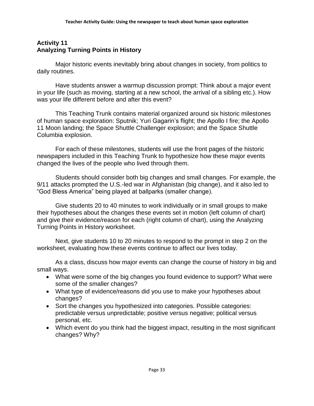## <span id="page-32-0"></span>**Activity 11 Analyzing Turning Points in History**

Major historic events inevitably bring about changes in society, from politics to daily routines.

Have students answer a warmup discussion prompt: Think about a major event in your life (such as moving, starting at a new school, the arrival of a sibling etc.). How was your life different before and after this event?

This Teaching Trunk contains material organized around six historic milestones of human space exploration: Sputnik; Yuri Gagarin's flight; the Apollo I fire; the Apollo 11 Moon landing; the Space Shuttle Challenger explosion; and the Space Shuttle Columbia explosion.

For each of these milestones, students will use the front pages of the historic newspapers included in this Teaching Trunk to hypothesize how these major events changed the lives of the people who lived through them.

Students should consider both big changes and small changes. For example, the 9/11 attacks prompted the U.S.-led war in Afghanistan (big change), and it also led to "God Bless America" being played at ballparks (smaller change).

Give students 20 to 40 minutes to work individually or in small groups to make their hypotheses about the changes these events set in motion (left column of chart) and give their evidence/reason for each (right column of chart), using the Analyzing Turning Points in History worksheet.

Next, give students 10 to 20 minutes to respond to the prompt in step 2 on the worksheet, evaluating how these events continue to affect our lives today.

As a class, discuss how major events can change the course of history in big and small ways.

- What were some of the big changes you found evidence to support? What were some of the smaller changes?
- What type of evidence/reasons did you use to make your hypotheses about changes?
- Sort the changes you hypothesized into categories. Possible categories: predictable versus unpredictable; positive versus negative; political versus personal, etc.
- Which event do you think had the biggest impact, resulting in the most significant changes? Why?